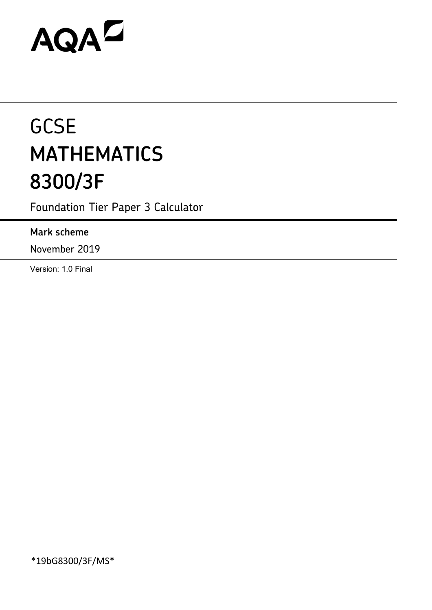# AQAZ

# **GCSE MATHEMATICS 8300/3F**

Foundation Tier Paper 3 Calculator

### **Mark scheme**

November 2019

Version: 1.0 Final

\*19bG8300/3F/MS\*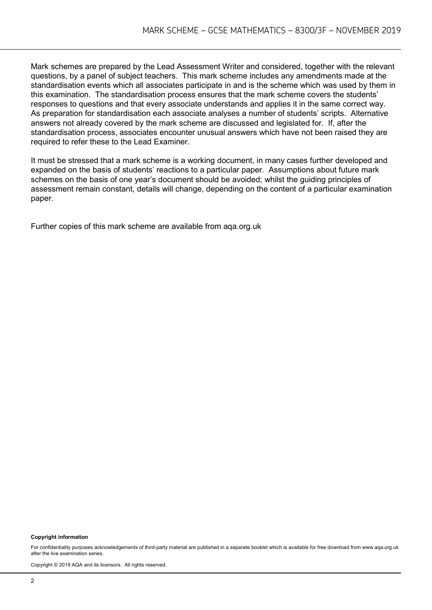Mark schemes are prepared by the Lead Assessment Writer and considered, together with the relevant questions, by a panel of subject teachers. This mark scheme includes any amendments made at the standardisation events which all associates participate in and is the scheme which was used by them in this examination. The standardisation process ensures that the mark scheme covers the students' responses to questions and that every associate understands and applies it in the same correct way. As preparation for standardisation each associate analyses a number of students' scripts. Alternative answers not already covered by the mark scheme are discussed and legislated for. If, after the standardisation process, associates encounter unusual answers which have not been raised they are required to refer these to the Lead Examiner.

It must be stressed that a mark scheme is a working document, in many cases further developed and expanded on the basis of students' reactions to a particular paper. Assumptions about future mark schemes on the basis of one year's document should be avoided; whilst the guiding principles of assessment remain constant, details will change, depending on the content of a particular examination paper.

Further copies of this mark scheme are available from aqa.org.uk

#### **Copyright information**

For confidentiality purposes acknowledgements of third-party material are published in a separate booklet which is available for free download from www.aga.org.uk after the live examination series.

Copyright © 2019 AQA and its licensors. All rights reserved.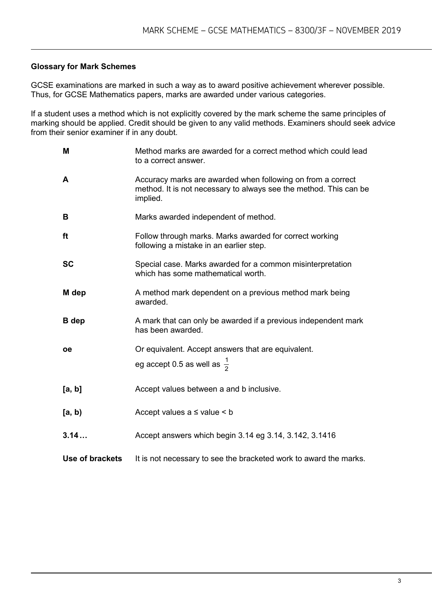#### **Glossary for Mark Schemes**

GCSE examinations are marked in such a way as to award positive achievement wherever possible. Thus, for GCSE Mathematics papers, marks are awarded under various categories.

If a student uses a method which is not explicitly covered by the mark scheme the same principles of marking should be applied. Credit should be given to any valid methods. Examiners should seek advice from their senior examiner if in any doubt.

| M               | Method marks are awarded for a correct method which could lead<br>to a correct answer.                                                       |
|-----------------|----------------------------------------------------------------------------------------------------------------------------------------------|
| A               | Accuracy marks are awarded when following on from a correct<br>method. It is not necessary to always see the method. This can be<br>implied. |
| B               | Marks awarded independent of method.                                                                                                         |
| ft              | Follow through marks. Marks awarded for correct working<br>following a mistake in an earlier step.                                           |
| <b>SC</b>       | Special case. Marks awarded for a common misinterpretation<br>which has some mathematical worth.                                             |
| M dep           | A method mark dependent on a previous method mark being<br>awarded.                                                                          |
| <b>B</b> dep    | A mark that can only be awarded if a previous independent mark<br>has been awarded.                                                          |
| <b>oe</b>       | Or equivalent. Accept answers that are equivalent.                                                                                           |
|                 | eg accept 0.5 as well as $\frac{1}{2}$                                                                                                       |
| [a, b]          | Accept values between a and b inclusive.                                                                                                     |
| [a, b)          | Accept values $a \leq$ value $\leq b$                                                                                                        |
| 3.14            | Accept answers which begin 3.14 eg 3.14, 3.142, 3.1416                                                                                       |
| Use of brackets | It is not necessary to see the bracketed work to award the marks.                                                                            |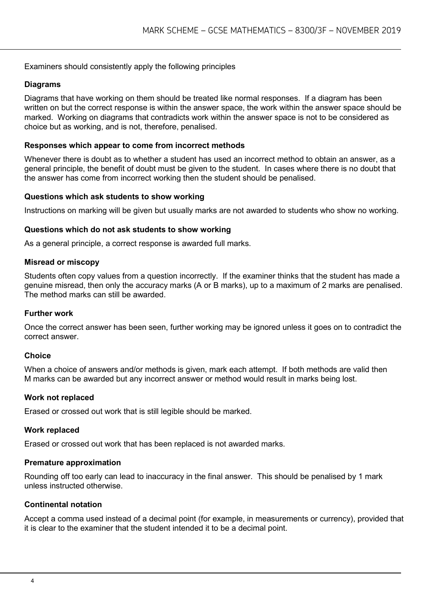#### Examiners should consistently apply the following principles

#### **Diagrams**

Diagrams that have working on them should be treated like normal responses. If a diagram has been written on but the correct response is within the answer space, the work within the answer space should be marked. Working on diagrams that contradicts work within the answer space is not to be considered as choice but as working, and is not, therefore, penalised.

#### **Responses which appear to come from incorrect methods**

Whenever there is doubt as to whether a student has used an incorrect method to obtain an answer, as a general principle, the benefit of doubt must be given to the student. In cases where there is no doubt that the answer has come from incorrect working then the student should be penalised.

#### **Questions which ask students to show working**

Instructions on marking will be given but usually marks are not awarded to students who show no working.

#### **Questions which do not ask students to show working**

As a general principle, a correct response is awarded full marks.

#### **Misread or miscopy**

Students often copy values from a question incorrectly. If the examiner thinks that the student has made a genuine misread, then only the accuracy marks (A or B marks), up to a maximum of 2 marks are penalised. The method marks can still be awarded.

#### **Further work**

Once the correct answer has been seen, further working may be ignored unless it goes on to contradict the correct answer.

#### **Choice**

When a choice of answers and/or methods is given, mark each attempt. If both methods are valid then M marks can be awarded but any incorrect answer or method would result in marks being lost.

#### **Work not replaced**

Erased or crossed out work that is still legible should be marked.

#### **Work replaced**

Erased or crossed out work that has been replaced is not awarded marks.

#### **Premature approximation**

Rounding off too early can lead to inaccuracy in the final answer. This should be penalised by 1 mark unless instructed otherwise.

#### **Continental notation**

Accept a comma used instead of a decimal point (for example, in measurements or currency), provided that it is clear to the examiner that the student intended it to be a decimal point.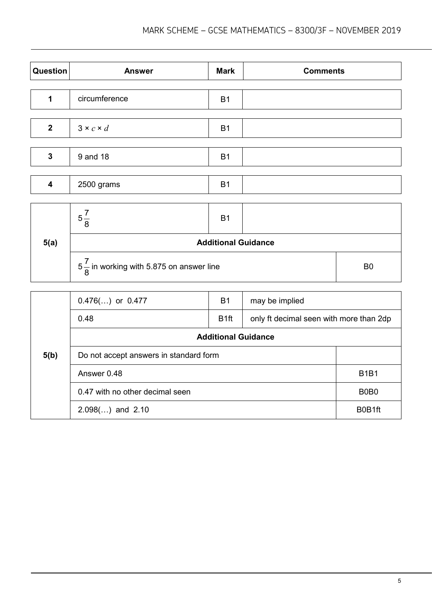| Question                | <b>Answer</b>                                       | <b>Mark</b> | <b>Comments</b> |                |
|-------------------------|-----------------------------------------------------|-------------|-----------------|----------------|
|                         |                                                     |             |                 |                |
| 1                       | circumference                                       | <b>B1</b>   |                 |                |
| $\mathbf{2}$            | $3 \times c \times d$                               | <b>B1</b>   |                 |                |
| $\mathbf{3}$            | 9 and 18                                            | <b>B1</b>   |                 |                |
| $\overline{\mathbf{4}}$ | 2500 grams                                          | <b>B1</b>   |                 |                |
|                         | $5\frac{7}{8}$                                      | <b>B1</b>   |                 |                |
| 5(a)                    | <b>Additional Guidance</b>                          |             |                 |                |
|                         | $5\frac{7}{8}$ in working with 5.875 on answer line |             |                 | B <sub>0</sub> |
|                         | $0.476()$ or $0.477$                                | <b>B1</b>   | may be implied  |                |

|      | U.710110111                            |                   | <b>THAY DE IMPIRED</b>                  |                               |
|------|----------------------------------------|-------------------|-----------------------------------------|-------------------------------|
|      | 0.48                                   | B <sub>1</sub> ft | only ft decimal seen with more than 2dp |                               |
|      | <b>Additional Guidance</b>             |                   |                                         |                               |
| 5(b) | Do not accept answers in standard form |                   |                                         |                               |
|      | Answer 0.48                            |                   |                                         | <b>B1B1</b>                   |
|      | 0.47 with no other decimal seen        |                   |                                         | B <sub>0</sub> B <sub>0</sub> |
|      | $2.098$ () and $2.10$                  |                   |                                         | B0B1ft                        |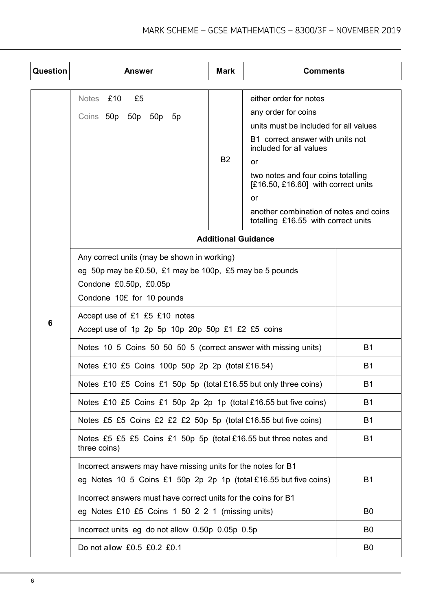| Question | Answer                                                                                                                                                        | <b>Mark</b>                | <b>Comments</b>                                                                                                                                                                                                                                                                                                                   |                |  |
|----------|---------------------------------------------------------------------------------------------------------------------------------------------------------------|----------------------------|-----------------------------------------------------------------------------------------------------------------------------------------------------------------------------------------------------------------------------------------------------------------------------------------------------------------------------------|----------------|--|
|          | Notes £10<br>£5<br>Coins 50p 50p<br>50p<br>5p                                                                                                                 | <b>B2</b>                  | either order for notes<br>any order for coins<br>units must be included for all values<br>B1 correct answer with units not<br>included for all values<br>or<br>two notes and four coins totalling<br>$[£16.50, £16.60]$ with correct units<br>or<br>another combination of notes and coins<br>totalling £16.55 with correct units |                |  |
|          |                                                                                                                                                               | <b>Additional Guidance</b> |                                                                                                                                                                                                                                                                                                                                   |                |  |
|          | Any correct units (may be shown in working)<br>eg 50p may be £0.50, £1 may be 100p, £5 may be 5 pounds<br>Condone £0.50p, £0.05p<br>Condone 10£ for 10 pounds |                            |                                                                                                                                                                                                                                                                                                                                   |                |  |
| 6        | Accept use of £1 £5 £10 notes<br>Accept use of 1p 2p 5p 10p 20p 50p £1 £2 £5 coins                                                                            |                            |                                                                                                                                                                                                                                                                                                                                   |                |  |
|          | Notes 10 5 Coins 50 50 50 5 (correct answer with missing units)                                                                                               | <b>B1</b>                  |                                                                                                                                                                                                                                                                                                                                   |                |  |
|          | Notes £10 £5 Coins 100p 50p 2p 2p (total £16.54)                                                                                                              | <b>B1</b>                  |                                                                                                                                                                                                                                                                                                                                   |                |  |
|          | Notes £10 £5 Coins £1 50p 5p (total £16.55 but only three coins)                                                                                              |                            |                                                                                                                                                                                                                                                                                                                                   | <b>B1</b>      |  |
|          | Notes £10 £5 Coins £1 50p 2p 2p 1p (total £16.55 but five coins)                                                                                              |                            |                                                                                                                                                                                                                                                                                                                                   | <b>B1</b>      |  |
|          | Notes £5 £5 Coins £2 £2 £2 50p 5p (total £16.55 but five coins)                                                                                               |                            |                                                                                                                                                                                                                                                                                                                                   | <b>B1</b>      |  |
|          | Notes £5 £5 £5 Coins £1 50p 5p (total £16.55 but three notes and<br>three coins)                                                                              |                            |                                                                                                                                                                                                                                                                                                                                   |                |  |
|          | Incorrect answers may have missing units for the notes for B1<br>eg Notes 10 5 Coins £1 50p 2p 2p 1p (total £16.55 but five coins)<br><b>B1</b>               |                            |                                                                                                                                                                                                                                                                                                                                   |                |  |
|          | Incorrect answers must have correct units for the coins for B1<br>eg Notes £10 £5 Coins 1 50 2 2 1 (missing units)                                            |                            |                                                                                                                                                                                                                                                                                                                                   | B <sub>0</sub> |  |
|          | Incorrect units eg do not allow 0.50p 0.05p 0.5p                                                                                                              |                            |                                                                                                                                                                                                                                                                                                                                   | B <sub>0</sub> |  |
|          | Do not allow £0.5 £0.2 £0.1                                                                                                                                   |                            |                                                                                                                                                                                                                                                                                                                                   | B <sub>0</sub> |  |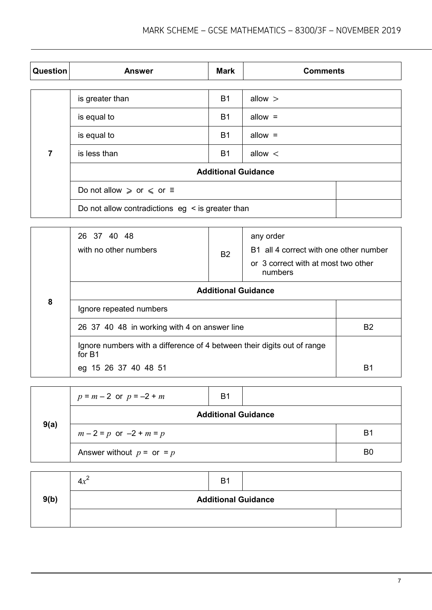| Question | <b>Answer</b>                                         | <b>Mark</b> | <b>Comments</b> |  |
|----------|-------------------------------------------------------|-------------|-----------------|--|
|          |                                                       |             |                 |  |
|          | is greater than                                       | <b>B1</b>   | allow $>$       |  |
|          | is equal to                                           | <b>B1</b>   | allow $=$       |  |
| 7        | is equal to                                           | <b>B1</b>   | allow $=$       |  |
|          | is less than                                          | <b>B1</b>   | allow $\lt$     |  |
|          | <b>Additional Guidance</b>                            |             |                 |  |
|          | Do not allow $\ge$ or $\le$ or $\equiv$               |             |                 |  |
|          | Do not allow contradictions $eg \leq is greater than$ |             |                 |  |

|   | 26 37 40 48<br>with no other numbers                                              | <b>B2</b>                  | any order<br>B1 all 4 correct with one other number<br>or 3 correct with at most two other<br>numbers |    |
|---|-----------------------------------------------------------------------------------|----------------------------|-------------------------------------------------------------------------------------------------------|----|
|   |                                                                                   | <b>Additional Guidance</b> |                                                                                                       |    |
| 8 | Ignore repeated numbers                                                           |                            |                                                                                                       |    |
|   | 26 37 40 48 in working with 4 on answer line                                      | B <sub>2</sub>             |                                                                                                       |    |
|   | Ignore numbers with a difference of 4 between their digits out of range<br>for B1 |                            |                                                                                                       |    |
|   | eg 15 26 37 40 48 51                                                              |                            |                                                                                                       | B1 |

| 9(a) | $p = m - 2$ or $p = -2 + m$   | <b>B1</b>                  |                |
|------|-------------------------------|----------------------------|----------------|
|      |                               | <b>Additional Guidance</b> |                |
|      | $m-2 = p$ or $-2 + m = p$     |                            | B1             |
|      | Answer without $p =$ or $= p$ |                            | B <sub>0</sub> |

|      | $4x^2$                     | B <sub>1</sub> |  |  |
|------|----------------------------|----------------|--|--|
| 9(b) | <b>Additional Guidance</b> |                |  |  |
|      |                            |                |  |  |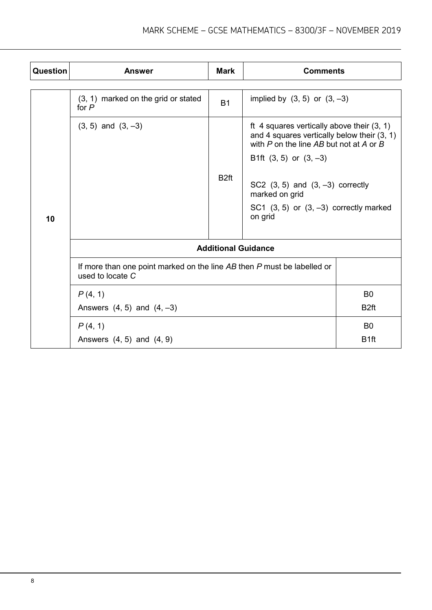| Question | <b>Answer</b>                                                                               | <b>Mark</b>      | <b>Comments</b>                                                                                                                          |                  |
|----------|---------------------------------------------------------------------------------------------|------------------|------------------------------------------------------------------------------------------------------------------------------------------|------------------|
|          |                                                                                             |                  |                                                                                                                                          |                  |
|          | (3, 1) marked on the grid or stated<br>for $P$                                              | <b>B1</b>        | implied by $(3, 5)$ or $(3, -3)$                                                                                                         |                  |
|          | $(3, 5)$ and $(3, -3)$                                                                      |                  | ft 4 squares vertically above their $(3, 1)$<br>and 4 squares vertically below their $(3, 1)$<br>with P on the line AB but not at A or B |                  |
|          |                                                                                             |                  | B1ft $(3, 5)$ or $(3, -3)$                                                                                                               |                  |
| 10       |                                                                                             | B <sub>2ft</sub> | SC2 $(3, 5)$ and $(3, -3)$ correctly<br>marked on grid                                                                                   |                  |
|          |                                                                                             |                  | SC1 $(3, 5)$ or $(3, -3)$ correctly marked<br>on grid                                                                                    |                  |
|          | <b>Additional Guidance</b>                                                                  |                  |                                                                                                                                          |                  |
|          | If more than one point marked on the line AB then P must be labelled or<br>used to locate C |                  |                                                                                                                                          |                  |
|          | P(4, 1)                                                                                     |                  |                                                                                                                                          | B <sub>0</sub>   |
|          | Answers $(4, 5)$ and $(4, -3)$                                                              |                  |                                                                                                                                          | B <sub>2ft</sub> |
|          | P(4, 1)                                                                                     |                  |                                                                                                                                          | B <sub>0</sub>   |
|          | Answers $(4, 5)$ and $(4, 9)$                                                               |                  |                                                                                                                                          | B <sub>1ft</sub> |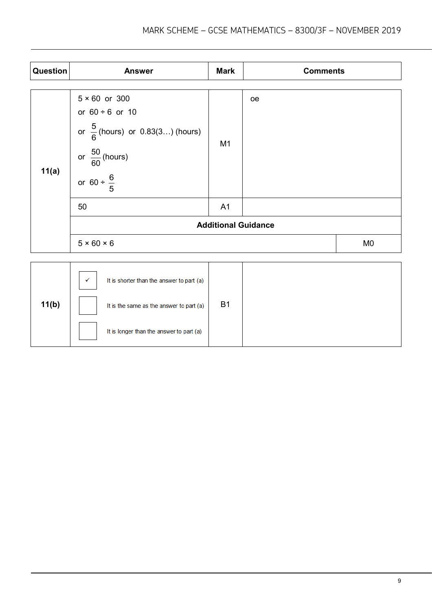| Question | <b>Answer</b>                                                                                                                                         | <b>Mark</b>    | <b>Comments</b> |                |
|----------|-------------------------------------------------------------------------------------------------------------------------------------------------------|----------------|-----------------|----------------|
| 11(a)    | $5 \times 60$ or 300<br>or $60 \div 6$ or 10<br>or $\frac{5}{6}$ (hours) or 0.83(3) (hours)<br>or $\frac{50}{60}$ (hours)<br>or $60 \div \frac{6}{5}$ | M <sub>1</sub> | oe              |                |
|          | 50                                                                                                                                                    | A <sub>1</sub> |                 |                |
|          | <b>Additional Guidance</b>                                                                                                                            |                |                 |                |
|          | $5 \times 60 \times 6$                                                                                                                                |                |                 | M <sub>0</sub> |
|          |                                                                                                                                                       |                |                 |                |
| 11(b)    | It is shorter than the answer to part (a)<br>$\checkmark$<br>It is the same as the answer to part (a)                                                 | <b>B1</b>      |                 |                |

It is longer than the answer to part (a)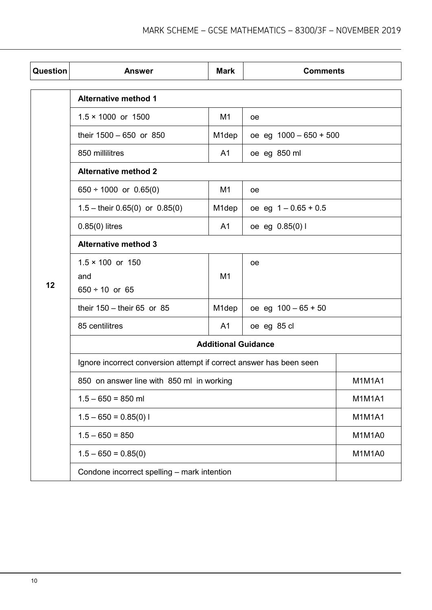| Question | <b>Answer</b>                                                       | <b>Mark</b>                | <b>Comments</b>          |               |
|----------|---------------------------------------------------------------------|----------------------------|--------------------------|---------------|
|          | <b>Alternative method 1</b>                                         |                            |                          |               |
|          | $1.5 \times 1000$ or 1500                                           | M <sub>1</sub>             | <sub>oe</sub>            |               |
|          | their 1500 - 650 or 850                                             | M <sub>1</sub> dep         | oe eg $1000 - 650 + 500$ |               |
|          | 850 millilitres                                                     | A <sub>1</sub>             | oe eg 850 ml             |               |
|          | <b>Alternative method 2</b>                                         |                            |                          |               |
|          | 650 $\div$ 1000 or 0.65(0)                                          | M <sub>1</sub>             | 0e                       |               |
|          | $1.5 -$ their 0.65(0) or 0.85(0)                                    | M <sub>1</sub> dep         | oe eg $1 - 0.65 + 0.5$   |               |
|          | $0.85(0)$ litres                                                    | A <sub>1</sub>             | oe eg 0.85(0) l          |               |
|          | <b>Alternative method 3</b>                                         |                            |                          |               |
|          | $1.5 \times 100$ or 150                                             |                            | <sub>oe</sub>            |               |
| 12       | and                                                                 | M <sub>1</sub>             |                          |               |
|          | $650 \div 10$ or 65                                                 |                            |                          |               |
|          | their $150 -$ their 65 or 85                                        | M1dep                      | oe eg $100 - 65 + 50$    |               |
|          | 85 centilitres                                                      | A <sub>1</sub>             | oe eg 85 cl              |               |
|          |                                                                     | <b>Additional Guidance</b> |                          |               |
|          | Ignore incorrect conversion attempt if correct answer has been seen |                            |                          |               |
|          | 850 on answer line with 850 ml in working                           |                            |                          | <b>M1M1A1</b> |
|          | $1.5 - 650 = 850$ ml                                                |                            |                          | <b>M1M1A1</b> |
|          | $1.5 - 650 = 0.85(0)$                                               |                            |                          | <b>M1M1A1</b> |
|          | $1.5 - 650 = 850$                                                   |                            |                          | M1M1A0        |
|          | $1.5 - 650 = 0.85(0)$                                               |                            |                          | M1M1A0        |
|          | Condone incorrect spelling - mark intention                         |                            |                          |               |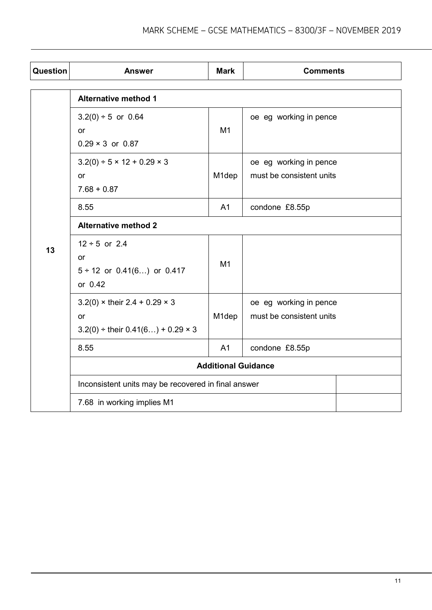| Question | <b>Answer</b>                                                                                        | <b>Mark</b>        | <b>Comments</b>                                    |  |
|----------|------------------------------------------------------------------------------------------------------|--------------------|----------------------------------------------------|--|
|          | <b>Alternative method 1</b>                                                                          |                    |                                                    |  |
|          | $3.2(0) \div 5$ or 0.64<br>or<br>$0.29 \times 3$ or 0.87                                             | M1                 | oe eg working in pence                             |  |
|          | $3.2(0) \div 5 \times 12 + 0.29 \times 3$<br>or<br>$7.68 + 0.87$                                     | M1dep              | oe eg working in pence<br>must be consistent units |  |
|          | 8.55                                                                                                 | A <sub>1</sub>     | condone £8.55p                                     |  |
|          | <b>Alternative method 2</b>                                                                          |                    |                                                    |  |
| 13       | $12 \div 5$ or 2.4<br><b>or</b><br>$5 \div 12$ or 0.41(6) or 0.417<br>or 0.42                        | M <sub>1</sub>     |                                                    |  |
|          | $3.2(0)$ × their $2.4 + 0.29 \times 3$<br><b>or</b><br>$3.2(0) \div$ their $0.41(6) + 0.29 \times 3$ | M <sub>1</sub> dep | oe eg working in pence<br>must be consistent units |  |
|          | 8.55                                                                                                 | A <sub>1</sub>     | condone £8.55p                                     |  |
|          | <b>Additional Guidance</b>                                                                           |                    |                                                    |  |
|          | Inconsistent units may be recovered in final answer                                                  |                    |                                                    |  |
|          | 7.68 in working implies M1                                                                           |                    |                                                    |  |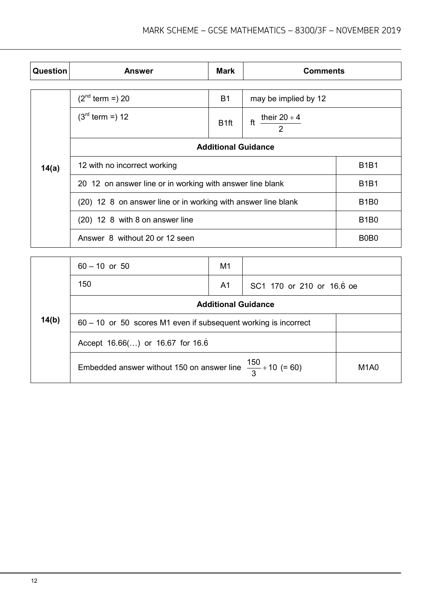| <b>Question</b> | <b>Answer</b>                                             | <b>Mark</b>                                                   | <b>Comments</b>               |             |
|-----------------|-----------------------------------------------------------|---------------------------------------------------------------|-------------------------------|-------------|
|                 |                                                           |                                                               |                               |             |
|                 | $(2^{nd}$ term =) 20                                      | <b>B1</b>                                                     | may be implied by 12          |             |
|                 | $(3^{rd}$ term = $) 12$                                   | B <sub>1ft</sub>                                              | their $20+4$<br>ft            |             |
|                 | <b>Additional Guidance</b>                                |                                                               |                               |             |
| 14(a)           | 12 with no incorrect working                              |                                                               | <b>B1B1</b>                   |             |
|                 | 20 12 on answer line or in working with answer line blank |                                                               |                               | <b>B1B1</b> |
|                 |                                                           | (20) 12 8 on answer line or in working with answer line blank |                               | <b>B1B0</b> |
|                 | (20) 12 8 with 8 on answer line                           |                                                               |                               | <b>B1B0</b> |
|                 | Answer 8 without 20 or 12 seen                            |                                                               | B <sub>0</sub> B <sub>0</sub> |             |

|       | $60 - 10$ or 50                                                        | M1 |                           |  |  |
|-------|------------------------------------------------------------------------|----|---------------------------|--|--|
|       | 150                                                                    | A1 | SC1 170 or 210 or 16.6 oe |  |  |
|       | <b>Additional Guidance</b>                                             |    |                           |  |  |
| 14(b) | $60 - 10$ or 50 scores M1 even if subsequent working is incorrect      |    |                           |  |  |
|       | Accept 16.66() or 16.67 for 16.6                                       |    |                           |  |  |
|       | Embedded answer without 150 on answer line $\frac{150}{3}$ + 10 (= 60) |    |                           |  |  |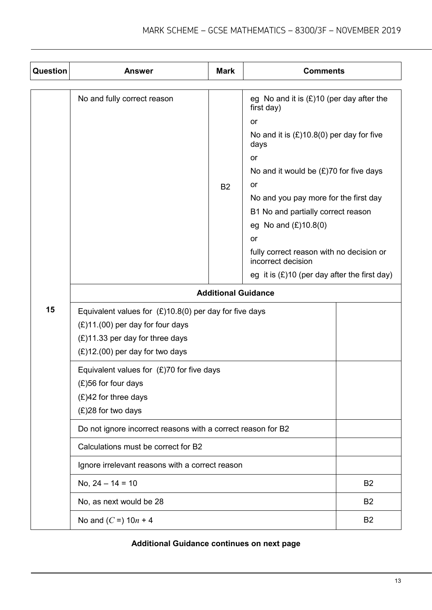| <b>Question</b> | <b>Answer</b>                                                                                                                                                               | <b>Mark</b> | <b>Comments</b>                                                                                                                                                                                                                                                                                 |                |  |
|-----------------|-----------------------------------------------------------------------------------------------------------------------------------------------------------------------------|-------------|-------------------------------------------------------------------------------------------------------------------------------------------------------------------------------------------------------------------------------------------------------------------------------------------------|----------------|--|
|                 | No and fully correct reason                                                                                                                                                 | <b>B2</b>   | eg No and it is $(E)$ 10 (per day after the<br>first day)<br><b>or</b><br>No and it is $(E)$ 10.8(0) per day for five<br>days<br>or<br>No and it would be $(E)$ 70 for five days<br>or<br>No and you pay more for the first day<br>B1 No and partially correct reason<br>eg No and $(E)10.8(0)$ |                |  |
|                 |                                                                                                                                                                             |             | <b>or</b><br>fully correct reason with no decision or<br>incorrect decision<br>eg it is $(E)$ 10 (per day after the first day)                                                                                                                                                                  |                |  |
|                 | <b>Additional Guidance</b>                                                                                                                                                  |             |                                                                                                                                                                                                                                                                                                 |                |  |
| 15              | Equivalent values for $(E)$ 10.8(0) per day for five days<br>$(E)11.(00)$ per day for four days<br>$(E)$ 11.33 per day for three days<br>$(E)$ 12.(00) per day for two days |             |                                                                                                                                                                                                                                                                                                 |                |  |
|                 | Equivalent values for $(E)$ 70 for five days<br>(£)56 for four days<br>$(E)42$ for three days<br>(£)28 for two days                                                         |             |                                                                                                                                                                                                                                                                                                 |                |  |
|                 | Do not ignore incorrect reasons with a correct reason for B2                                                                                                                |             |                                                                                                                                                                                                                                                                                                 |                |  |
|                 | Calculations must be correct for B2                                                                                                                                         |             |                                                                                                                                                                                                                                                                                                 |                |  |
|                 | Ignore irrelevant reasons with a correct reason                                                                                                                             |             |                                                                                                                                                                                                                                                                                                 |                |  |
|                 | No, $24 - 14 = 10$                                                                                                                                                          |             |                                                                                                                                                                                                                                                                                                 | B <sub>2</sub> |  |
|                 | No, as next would be 28                                                                                                                                                     |             |                                                                                                                                                                                                                                                                                                 | B <sub>2</sub> |  |
|                 | No and $(C = 10n + 4$                                                                                                                                                       |             |                                                                                                                                                                                                                                                                                                 | B <sub>2</sub> |  |

#### **Additional Guidance continues on next page**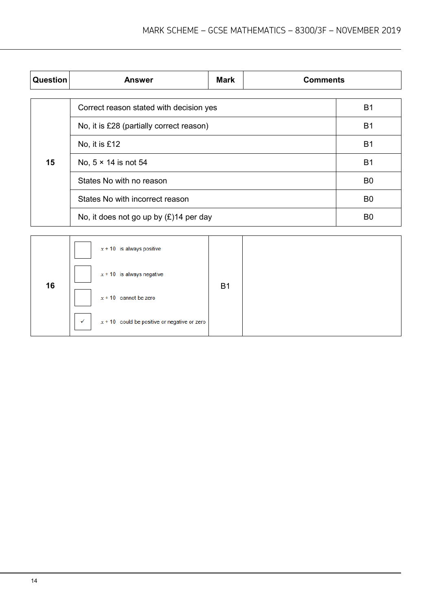| <b>Question</b> | <b>Answer</b>                             | <b>Mark</b> | <b>Comments</b> |                |
|-----------------|-------------------------------------------|-------------|-----------------|----------------|
|                 |                                           |             |                 |                |
|                 | Correct reason stated with decision yes   |             |                 | B <sub>1</sub> |
|                 | No, it is £28 (partially correct reason)  |             |                 |                |
|                 | No, it is £12                             |             |                 | <b>B1</b>      |
| 15              | No, $5 \times 14$ is not 54               |             |                 |                |
|                 | States No with no reason                  |             |                 | B <sub>0</sub> |
|                 | States No with incorrect reason           |             |                 | B <sub>0</sub> |
|                 | No, it does not go up by $(E)$ 14 per day |             |                 | B <sub>0</sub> |

|    | $x + 10$ is always positive                         |                |  |
|----|-----------------------------------------------------|----------------|--|
| 16 | $x + 10$ is always negative                         | B <sub>1</sub> |  |
|    | $x + 10$ cannot be zero                             |                |  |
|    | $x + 10$ could be positive or negative or zero<br>✔ |                |  |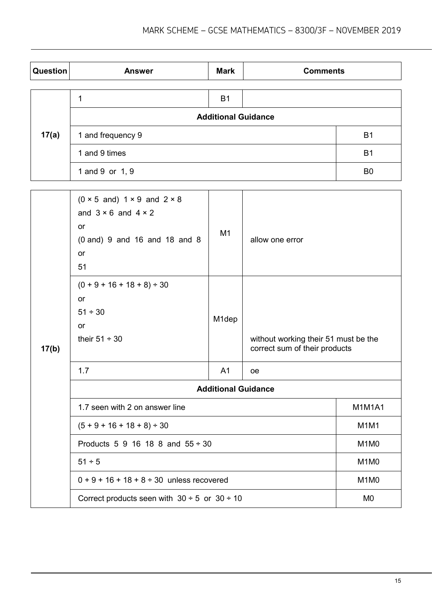| <b>Question</b> | <b>Answer</b>              | <b>Mark</b> | <b>Comments</b> |                |
|-----------------|----------------------------|-------------|-----------------|----------------|
|                 |                            |             |                 |                |
|                 |                            | <b>B1</b>   |                 |                |
|                 | <b>Additional Guidance</b> |             |                 |                |
| 17(a)           | 1 and frequency 9          |             |                 | B <sub>1</sub> |
|                 | 1 and 9 times              |             |                 | <b>B1</b>      |
|                 | 1 and 9 or 1, 9            |             |                 | B <sub>0</sub> |

|       | $(0 \times 5$ and) 1 $\times$ 9 and 2 $\times$ 8<br>and $3 \times 6$ and $4 \times 2$<br>or<br>$(0 \text{ and } 9 \text{ and } 16 \text{ and } 18 \text{ and } 8$<br><b>or</b><br>51 | M1             | allow one error                                                       |                |  |
|-------|--------------------------------------------------------------------------------------------------------------------------------------------------------------------------------------|----------------|-----------------------------------------------------------------------|----------------|--|
| 17(b) | $(0 + 9 + 16 + 18 + 8) \div 30$<br>or<br>$51 \div 30$<br>or<br>their $51 \div 30$                                                                                                    | M1dep          | without working their 51 must be the<br>correct sum of their products |                |  |
|       | 1.7                                                                                                                                                                                  | A <sub>1</sub> | <sub>oe</sub>                                                         |                |  |
|       | <b>Additional Guidance</b>                                                                                                                                                           |                |                                                                       |                |  |
|       | 1.7 seen with 2 on answer line                                                                                                                                                       |                |                                                                       | <b>M1M1A1</b>  |  |
|       | $(5 + 9 + 16 + 18 + 8) \div 30$                                                                                                                                                      |                |                                                                       | M1M1           |  |
|       | Products 5 9 16 18 8 and $55 \div 30$                                                                                                                                                |                |                                                                       | M1M0           |  |
|       | $51 \div 5$                                                                                                                                                                          |                |                                                                       | M1M0           |  |
|       | $0 + 9 + 16 + 18 + 8 \div 30$ unless recovered                                                                                                                                       |                |                                                                       | M1M0           |  |
|       | Correct products seen with $30 \div 5$ or $30 \div 10$                                                                                                                               |                |                                                                       | M <sub>0</sub> |  |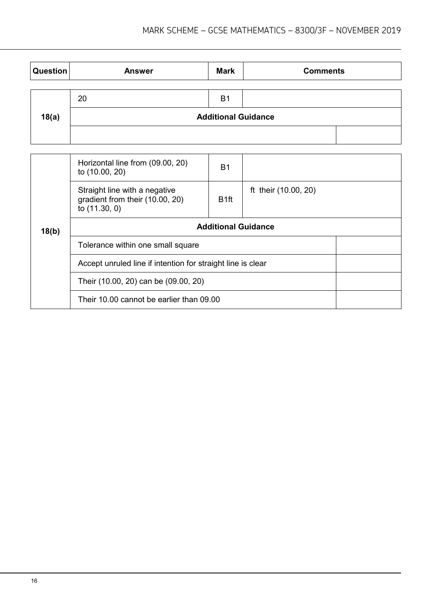| <b>Question</b> | <b>Answer</b>                                                                     | <b>Mark</b>                | <b>Comments</b>      |  |  |
|-----------------|-----------------------------------------------------------------------------------|----------------------------|----------------------|--|--|
|                 |                                                                                   |                            |                      |  |  |
|                 | 20                                                                                | B <sub>1</sub>             |                      |  |  |
| 18(a)           | <b>Additional Guidance</b>                                                        |                            |                      |  |  |
|                 |                                                                                   |                            |                      |  |  |
|                 |                                                                                   |                            |                      |  |  |
|                 | Horizontal line from (09.00, 20)<br>to (10.00, 20)                                | <b>B1</b>                  |                      |  |  |
|                 | Straight line with a negative<br>gradient from their (10.00, 20)<br>to (11.30, 0) | B <sub>1</sub> ft          | ft their (10.00, 20) |  |  |
| 18(b)           |                                                                                   | <b>Additional Guidance</b> |                      |  |  |
|                 | Teleranes within and amall caugra                                                 |                            |                      |  |  |

| 10(D) |                                                             |  |  |
|-------|-------------------------------------------------------------|--|--|
|       | Tolerance within one small square                           |  |  |
|       | Accept unruled line if intention for straight line is clear |  |  |
|       | Their (10.00, 20) can be (09.00, 20)                        |  |  |
|       | Their 10.00 cannot be earlier than 09.00                    |  |  |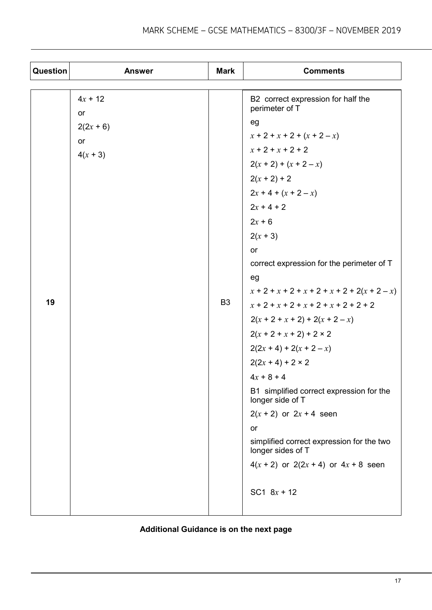| Question | <b>Answer</b>    | <b>Mark</b>    | <b>Comments</b>                                                |
|----------|------------------|----------------|----------------------------------------------------------------|
|          |                  |                |                                                                |
|          | $4x + 12$<br>or  |                | B2 correct expression for half the<br>perimeter of T           |
|          |                  |                | eg                                                             |
|          | $2(2x + 6)$      |                | $x + 2 + x + 2 + (x + 2 - x)$                                  |
|          | or<br>$4(x + 3)$ |                | $x + 2 + x + 2 + 2$                                            |
|          |                  |                | $2(x + 2) + (x + 2 - x)$                                       |
|          |                  |                | $2(x + 2) + 2$                                                 |
|          |                  |                | $2x + 4 + (x + 2 - x)$                                         |
|          |                  |                | $2x + 4 + 2$                                                   |
|          |                  |                | $2x + 6$                                                       |
|          |                  |                | $2(x + 3)$                                                     |
|          |                  |                | or                                                             |
|          |                  |                | correct expression for the perimeter of T                      |
|          |                  |                | eg                                                             |
|          |                  |                | $x + 2 + x + 2 + x + 2 + x + 2 + 2(x + 2 - x)$                 |
| 19       |                  | B <sub>3</sub> | $x + 2 + x + 2 + x + 2 + x + 2 + 2 + 2$                        |
|          |                  |                | $2(x + 2 + x + 2) + 2(x + 2 - x)$                              |
|          |                  |                | $2(x + 2 + x + 2) + 2 \times 2$                                |
|          |                  |                | $2(2x + 4) + 2(x + 2 - x)$                                     |
|          |                  |                | $2(2x + 4) + 2 \times 2$                                       |
|          |                  |                | $4x + 8 + 4$                                                   |
|          |                  |                | B1 simplified correct expression for the<br>longer side of T   |
|          |                  |                | $2(x + 2)$ or $2x + 4$ seen                                    |
|          |                  |                | or                                                             |
|          |                  |                | simplified correct expression for the two<br>longer sides of T |
|          |                  |                | $4(x + 2)$ or $2(2x + 4)$ or $4x + 8$ seen                     |
|          |                  |                | SC1 $8x + 12$                                                  |

## **Additional Guidance is on the next page**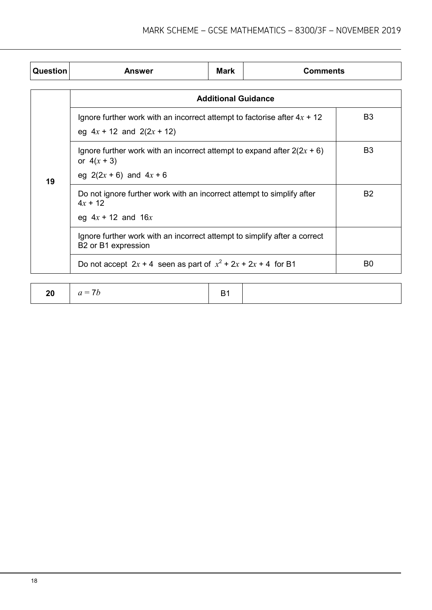| <b>Question</b> | Answer                                                                                                                    | Mark                       | <b>Comments</b> |                |  |
|-----------------|---------------------------------------------------------------------------------------------------------------------------|----------------------------|-----------------|----------------|--|
|                 |                                                                                                                           | <b>Additional Guidance</b> |                 |                |  |
|                 | Ignore further work with an incorrect attempt to factorise after $4x + 12$<br>eg $4x + 12$ and $2(2x + 12)$               |                            |                 | B <sub>3</sub> |  |
| 19              | Ignore further work with an incorrect attempt to expand after $2(2x + 6)$<br>or $4(x + 3)$<br>eg $2(2x + 6)$ and $4x + 6$ |                            |                 | B <sub>3</sub> |  |
|                 | Do not ignore further work with an incorrect attempt to simplify after<br>$4x + 12$<br>eg $4x + 12$ and $16x$             |                            |                 | <b>B2</b>      |  |
|                 | Ignore further work with an incorrect attempt to simplify after a correct<br>B2 or B1 expression                          |                            |                 |                |  |
|                 | Do not accept $2x + 4$ seen as part of $x^2 + 2x + 2x + 4$ for B1<br>B <sub>0</sub>                                       |                            |                 |                |  |

|--|--|--|--|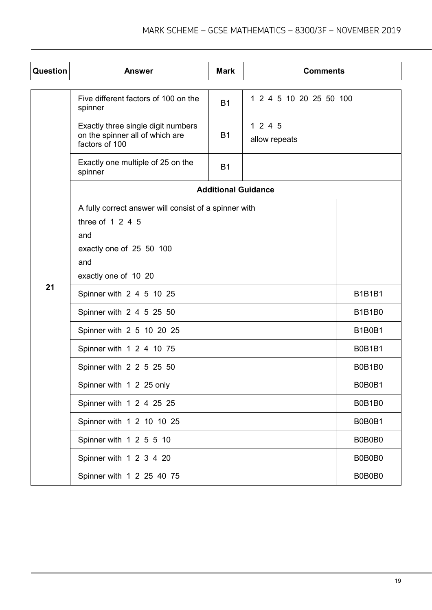| Question | <b>Answer</b>                                                                           | <b>Mark</b>                | <b>Comments</b>          |               |  |
|----------|-----------------------------------------------------------------------------------------|----------------------------|--------------------------|---------------|--|
|          | Five different factors of 100 on the<br>spinner                                         | <b>B1</b>                  | 1 2 4 5 10 20 25 50 100  |               |  |
|          | Exactly three single digit numbers<br>on the spinner all of which are<br>factors of 100 | <b>B1</b>                  | 1 2 4 5<br>allow repeats |               |  |
|          | Exactly one multiple of 25 on the<br>spinner                                            | <b>B1</b>                  |                          |               |  |
|          |                                                                                         | <b>Additional Guidance</b> |                          |               |  |
|          | A fully correct answer will consist of a spinner with                                   |                            |                          |               |  |
|          | three of $1245$                                                                         |                            |                          |               |  |
|          | and                                                                                     |                            |                          |               |  |
|          | exactly one of 25 50 100<br>and                                                         |                            |                          |               |  |
|          |                                                                                         |                            |                          |               |  |
| 21       | exactly one of 10 20                                                                    |                            |                          |               |  |
|          | Spinner with 2 4 5 10 25                                                                |                            |                          | <b>B1B1B1</b> |  |
|          | Spinner with 2 4 5 25 50                                                                |                            |                          | <b>B1B1B0</b> |  |
|          | Spinner with 2 5 10 20 25                                                               |                            |                          | <b>B1B0B1</b> |  |
|          | Spinner with 1 2 4 10 75                                                                |                            |                          | <b>B0B1B1</b> |  |
|          | Spinner with 2 2 5 25 50                                                                |                            |                          | B0B1B0        |  |
|          | Spinner with 1 2 25 only                                                                |                            |                          | B0B0B1        |  |
|          | Spinner with 1 2 4 25 25                                                                |                            | B0B1B0                   |               |  |
|          | Spinner with 1 2 10 10 25                                                               |                            | B0B0B1                   |               |  |
|          | Spinner with 1 2 5 5 10                                                                 |                            |                          | B0B0B0        |  |
|          | Spinner with 1 2 3 4 20                                                                 |                            |                          | B0B0B0        |  |
|          | Spinner with 1 2 25 40 75                                                               |                            |                          | B0B0B0        |  |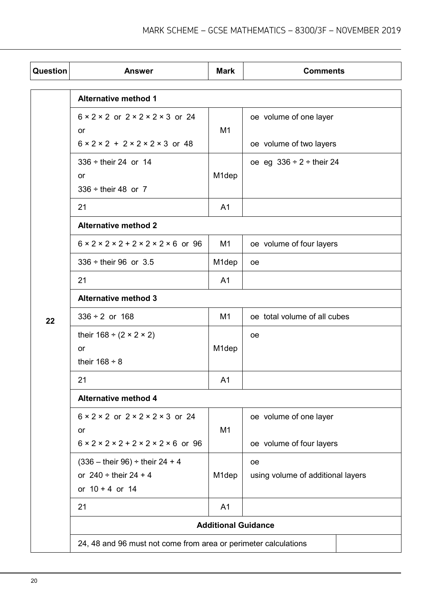| Question | <b>Answer</b>                                                                                                                              | <b>Mark</b>                | <b>Comments</b>                                    |  |
|----------|--------------------------------------------------------------------------------------------------------------------------------------------|----------------------------|----------------------------------------------------|--|
|          | <b>Alternative method 1</b>                                                                                                                |                            |                                                    |  |
|          | $6 \times 2 \times 2$ or $2 \times 2 \times 2 \times 3$ or 24<br>or<br>$6 \times 2 \times 2 + 2 \times 2 \times 2 \times 3$ or 48          | M <sub>1</sub>             | oe volume of one layer<br>oe volume of two layers  |  |
|          | $336 \div$ their 24 or 14<br>or<br>$336 \div$ their 48 or 7                                                                                | M <sub>1</sub> dep         | oe eg $336 \div 2 \div$ their 24                   |  |
|          | 21                                                                                                                                         | A <sub>1</sub>             |                                                    |  |
|          | <b>Alternative method 2</b>                                                                                                                |                            |                                                    |  |
|          | $6 \times 2 \times 2 \times 2 + 2 \times 2 \times 2 \times 6$ or 96                                                                        | M <sub>1</sub>             | oe volume of four layers                           |  |
|          | $336 \div$ their 96 or 3.5                                                                                                                 | M <sub>1</sub> dep         | <b>oe</b>                                          |  |
|          | 21                                                                                                                                         | A <sub>1</sub>             |                                                    |  |
|          | <b>Alternative method 3</b>                                                                                                                |                            |                                                    |  |
| 22       | $336 \div 2$ or 168                                                                                                                        | M <sub>1</sub>             | oe total volume of all cubes                       |  |
|          | their $168 \div (2 \times 2 \times 2)$<br>or<br>their $168 \div 8$                                                                         | M <sub>1</sub> dep         | <b>oe</b>                                          |  |
|          | 21                                                                                                                                         | A <sub>1</sub>             |                                                    |  |
|          | <b>Alternative method 4</b>                                                                                                                |                            |                                                    |  |
|          | $6 \times 2 \times 2$ or $2 \times 2 \times 2 \times 3$ or 24<br>or<br>$6 \times 2 \times 2 \times 2 + 2 \times 2 \times 2 \times 6$ or 96 | M <sub>1</sub>             | oe volume of one layer<br>oe volume of four layers |  |
|          | $(336 -$ their 96) ÷ their 24 + 4<br>or $240 \div$ their 24 + 4<br>or $10 + 4$ or 14                                                       | M <sub>1</sub> dep         | oe<br>using volume of additional layers            |  |
|          | 21                                                                                                                                         | A <sub>1</sub>             |                                                    |  |
|          |                                                                                                                                            | <b>Additional Guidance</b> |                                                    |  |
|          | 24, 48 and 96 must not come from area or perimeter calculations                                                                            |                            |                                                    |  |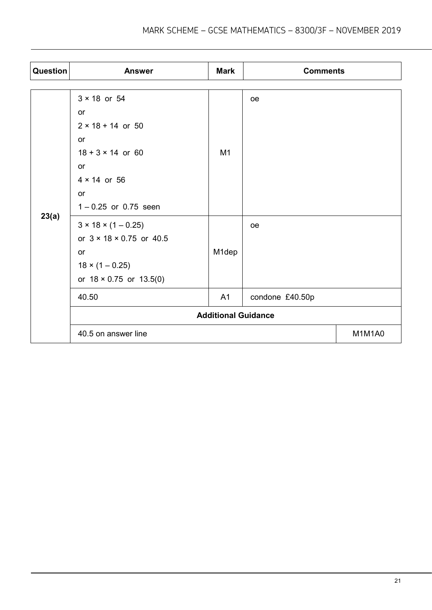| Question | <b>Answer</b>                        | <b>Mark</b> | <b>Comments</b> |        |
|----------|--------------------------------------|-------------|-----------------|--------|
|          |                                      |             |                 |        |
|          | $3 \times 18$ or 54                  |             | oe              |        |
|          | or                                   |             |                 |        |
|          | $2 \times 18 + 14$ or 50             |             |                 |        |
|          | or                                   |             |                 |        |
|          | $18 + 3 \times 14$ or 60             | M1          |                 |        |
|          | or                                   |             |                 |        |
|          | $4 \times 14$ or 56                  |             |                 |        |
|          | or                                   |             |                 |        |
|          | $1 - 0.25$ or 0.75 seen              |             |                 |        |
| 23(a)    | $3 \times 18 \times (1 - 0.25)$      |             | <sub>oe</sub>   |        |
|          | or $3 \times 18 \times 0.75$ or 40.5 |             |                 |        |
|          | or                                   | M1dep       |                 |        |
|          | $18 \times (1 - 0.25)$               |             |                 |        |
|          | or $18 \times 0.75$ or $13.5(0)$     |             |                 |        |
|          | 40.50                                | A1          | condone £40.50p |        |
|          | <b>Additional Guidance</b>           |             |                 |        |
|          | 40.5 on answer line                  |             |                 | M1M1A0 |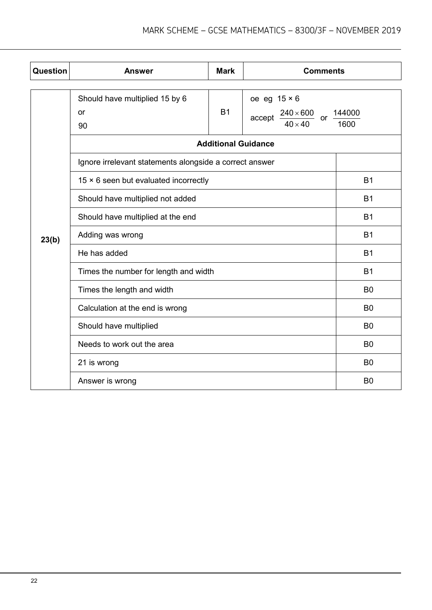| Question | <b>Answer</b>                                           | <b>Mark</b>                | <b>Comments</b>                                                                                            |                |
|----------|---------------------------------------------------------|----------------------------|------------------------------------------------------------------------------------------------------------|----------------|
|          | Should have multiplied 15 by 6<br>or<br>90              | <b>B1</b>                  | oe eg $15 \times 6$<br>$\frac{240 \times 600}{1000}$ or $\frac{144000}{10000}$<br>accept<br>$40 \times 40$ | 1600           |
|          |                                                         | <b>Additional Guidance</b> |                                                                                                            |                |
|          | Ignore irrelevant statements alongside a correct answer |                            |                                                                                                            |                |
|          | $15 \times 6$ seen but evaluated incorrectly            |                            | <b>B1</b>                                                                                                  |                |
|          | Should have multiplied not added                        |                            |                                                                                                            | <b>B1</b>      |
|          | Should have multiplied at the end                       |                            |                                                                                                            | <b>B1</b>      |
| 23(b)    | Adding was wrong                                        |                            |                                                                                                            | <b>B1</b>      |
|          | He has added                                            |                            |                                                                                                            | <b>B1</b>      |
|          | Times the number for length and width                   |                            |                                                                                                            | <b>B1</b>      |
|          | Times the length and width                              |                            |                                                                                                            | B <sub>0</sub> |
|          | Calculation at the end is wrong                         |                            |                                                                                                            | B <sub>0</sub> |
|          | Should have multiplied                                  |                            |                                                                                                            | B <sub>0</sub> |
|          | Needs to work out the area                              |                            |                                                                                                            | B <sub>0</sub> |
|          | 21 is wrong                                             |                            |                                                                                                            | B <sub>0</sub> |
|          | Answer is wrong                                         |                            |                                                                                                            | B <sub>0</sub> |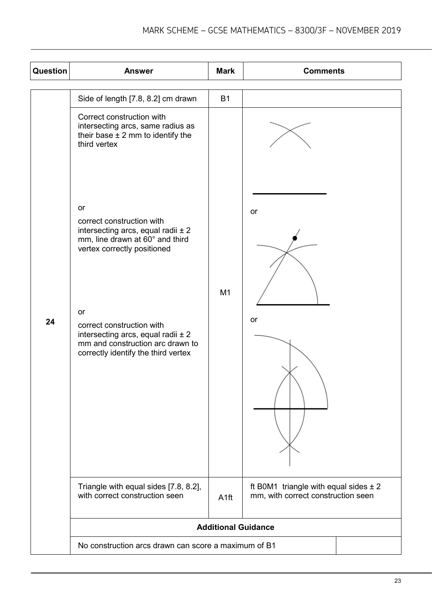| Question | <b>Answer</b>                                                                                                                                                                                                                                                                                       | <b>Mark</b>                | <b>Comments</b>                                                                 |  |
|----------|-----------------------------------------------------------------------------------------------------------------------------------------------------------------------------------------------------------------------------------------------------------------------------------------------------|----------------------------|---------------------------------------------------------------------------------|--|
|          | Side of length [7.8, 8.2] cm drawn                                                                                                                                                                                                                                                                  | <b>B1</b>                  |                                                                                 |  |
|          | Correct construction with<br>intersecting arcs, same radius as<br>their base $\pm$ 2 mm to identify the<br>third vertex                                                                                                                                                                             |                            |                                                                                 |  |
| 24       | or<br>correct construction with<br>intersecting arcs, equal radii $\pm 2$<br>mm, line drawn at 60° and third<br>vertex correctly positioned<br>or<br>correct construction with<br>intersecting arcs, equal radii $\pm 2$<br>mm and construction arc drawn to<br>correctly identify the third vertex | M1                         | <b>or</b><br>or                                                                 |  |
|          | Triangle with equal sides [7.8, 8.2],<br>with correct construction seen                                                                                                                                                                                                                             | A <sub>1ft</sub>           | ft B0M1 triangle with equal sides $\pm 2$<br>mm, with correct construction seen |  |
|          |                                                                                                                                                                                                                                                                                                     | <b>Additional Guidance</b> |                                                                                 |  |
|          | No construction arcs drawn can score a maximum of B1                                                                                                                                                                                                                                                |                            |                                                                                 |  |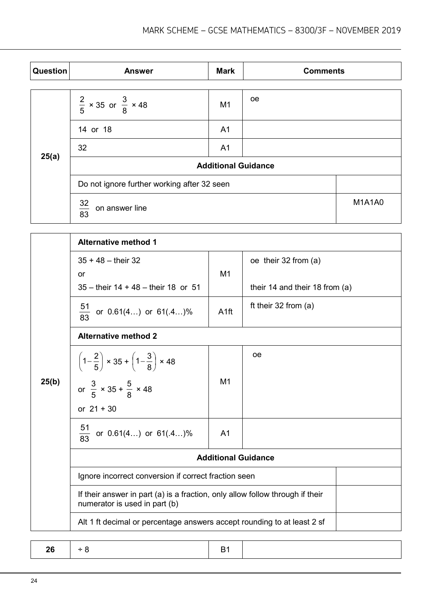| Question | <b>Answer</b>                               | <b>Mark</b>                | <b>Comments</b> |               |  |
|----------|---------------------------------------------|----------------------------|-----------------|---------------|--|
|          |                                             |                            |                 |               |  |
|          | $\frac{2}{5}$ × 35 or $\frac{3}{8}$ × 48    | M <sub>1</sub>             | <sub>oe</sub>   |               |  |
| 25(a)    | 14 or 18                                    | A <sub>1</sub>             |                 |               |  |
|          | 32                                          | A <sub>1</sub>             |                 |               |  |
|          |                                             | <b>Additional Guidance</b> |                 |               |  |
|          | Do not ignore further working after 32 seen |                            |                 |               |  |
|          | $\frac{32}{83}$<br>on answer line           |                            |                 | <b>M1A1A0</b> |  |

|       | <b>Alternative method 1</b>                                                                                    |                  |                                  |  |
|-------|----------------------------------------------------------------------------------------------------------------|------------------|----------------------------------|--|
|       | $35 + 48 -$ their 32<br>or                                                                                     | M1               | oe their 32 from (a)             |  |
|       | $35 -$ their $14 + 48 -$ their 18 or 51                                                                        |                  | their 14 and their 18 from $(a)$ |  |
|       | $\frac{51}{83}$<br>or 0.61(4) or 61(.4)%                                                                       | A <sub>1ft</sub> | ft their $32$ from (a)           |  |
|       | <b>Alternative method 2</b>                                                                                    |                  |                                  |  |
| 25(b) | $\left(1-\frac{2}{5}\right) \times 35 + \left(1-\frac{3}{8}\right) \times 48$                                  |                  | <sub>oe</sub>                    |  |
|       | or $\frac{3}{5} \times 35 + \frac{5}{8} \times 48$                                                             | M <sub>1</sub>   |                                  |  |
|       | or $21 + 30$                                                                                                   |                  |                                  |  |
|       | $\frac{51}{83}$ or 0.61(4) or 61(.4)%                                                                          | A <sub>1</sub>   |                                  |  |
|       | <b>Additional Guidance</b>                                                                                     |                  |                                  |  |
|       | Ignore incorrect conversion if correct fraction seen                                                           |                  |                                  |  |
|       | If their answer in part (a) is a fraction, only allow follow through if their<br>numerator is used in part (b) |                  |                                  |  |
|       | Alt 1 ft decimal or percentage answers accept rounding to at least 2 sf                                        |                  |                                  |  |

| . .<br>,,<br>- |  |
|----------------|--|
|----------------|--|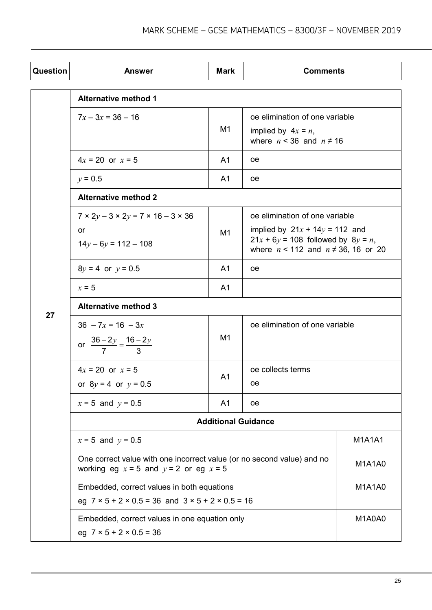| Question | <b>Answer</b>                                                                                                          | <b>Mark</b>    | <b>Comments</b>                                                                                                                                             |               |
|----------|------------------------------------------------------------------------------------------------------------------------|----------------|-------------------------------------------------------------------------------------------------------------------------------------------------------------|---------------|
|          | <b>Alternative method 1</b>                                                                                            |                |                                                                                                                                                             |               |
|          | $7x - 3x = 36 - 16$                                                                                                    | M <sub>1</sub> | oe elimination of one variable<br>implied by $4x = n$ ,<br>where $n < 36$ and $n \neq 16$                                                                   |               |
|          | $4x = 20$ or $x = 5$                                                                                                   | A <sub>1</sub> | œ                                                                                                                                                           |               |
|          | $y = 0.5$                                                                                                              | A <sub>1</sub> | <sub>oe</sub>                                                                                                                                               |               |
|          | <b>Alternative method 2</b>                                                                                            |                |                                                                                                                                                             |               |
|          | $7 \times 2y - 3 \times 2y = 7 \times 16 - 3 \times 36$<br>or<br>$14y - 6y = 112 - 108$                                | M1             | oe elimination of one variable<br>implied by $21x + 14y = 112$ and<br>$21x + 6y = 108$ followed by $8y = n$ ,<br>where $n < 112$ and $n \neq 36$ , 16 or 20 |               |
|          | $8y = 4$ or $y = 0.5$                                                                                                  | A <sub>1</sub> | <sub>oe</sub>                                                                                                                                               |               |
|          | $x = 5$                                                                                                                | A <sub>1</sub> |                                                                                                                                                             |               |
| 27       | <b>Alternative method 3</b>                                                                                            |                |                                                                                                                                                             |               |
|          | $36 - 7x = 16 - 3x$<br>or $\frac{36-2y}{7} = \frac{16-2y}{3}$                                                          | M1             | oe elimination of one variable                                                                                                                              |               |
|          | $4x = 20$ or $x = 5$<br>or $8y = 4$ or $y = 0.5$                                                                       | A <sub>1</sub> | oe collects terms<br>œ                                                                                                                                      |               |
|          | $x = 5$ and $y = 0.5$                                                                                                  | A <sub>1</sub> | <sub>oe</sub>                                                                                                                                               |               |
|          | <b>Additional Guidance</b>                                                                                             |                |                                                                                                                                                             |               |
|          | $x = 5$ and $y = 0.5$                                                                                                  |                |                                                                                                                                                             | <b>M1A1A1</b> |
|          | One correct value with one incorrect value (or no second value) and no<br>working eg $x = 5$ and $y = 2$ or eg $x = 5$ |                |                                                                                                                                                             | <b>M1A1A0</b> |
|          | Embedded, correct values in both equations<br>eg $7 \times 5 + 2 \times 0.5 = 36$ and $3 \times 5 + 2 \times 0.5 = 16$ |                |                                                                                                                                                             | <b>M1A1A0</b> |
|          | Embedded, correct values in one equation only<br>eg $7 \times 5 + 2 \times 0.5 = 36$                                   |                |                                                                                                                                                             | M1A0A0        |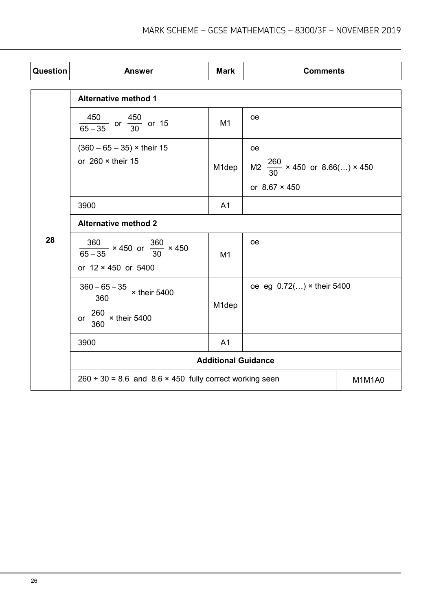| Question | <b>Answer</b>                                                                          | <b>Mark</b>        | <b>Comments</b>                                                                    |        |  |
|----------|----------------------------------------------------------------------------------------|--------------------|------------------------------------------------------------------------------------|--------|--|
|          | <b>Alternative method 1</b>                                                            |                    |                                                                                    |        |  |
|          | $\frac{450}{65-35}$ or $\frac{450}{30}$ or 15                                          | M <sub>1</sub>     | <b>oe</b>                                                                          |        |  |
|          | $(360 - 65 - 35)$ × their 15<br>or $260 \times$ their 15                               | M1dep              | <sub>oe</sub><br>M2 $\frac{260}{30}$ × 450 or 8.66() × 450<br>or $8.67 \times 450$ |        |  |
|          | 3900                                                                                   | A <sub>1</sub>     |                                                                                    |        |  |
|          | <b>Alternative method 2</b>                                                            |                    |                                                                                    |        |  |
| 28       | $\frac{360}{65-35}$ × 450 or $\frac{360}{30}$ × 450<br>or 12 × 450 or 5400             | M <sub>1</sub>     | <b>oe</b>                                                                          |        |  |
|          | $\frac{360-65-35}{360} \times \text{their } 5400$<br>or $\frac{260}{360}$ × their 5400 | M <sub>1</sub> dep | oe eg 0.72() × their 5400                                                          |        |  |
|          | 3900                                                                                   | A <sub>1</sub>     |                                                                                    |        |  |
|          | <b>Additional Guidance</b>                                                             |                    |                                                                                    |        |  |
|          | $260 \div 30 = 8.6$ and $8.6 \times 450$ fully correct working seen                    |                    |                                                                                    | M1M1A0 |  |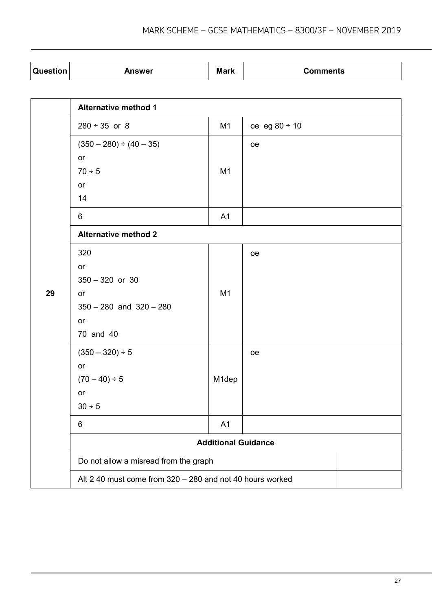| <b>Question</b> | Answer | <b>Mark</b> | Comments |
|-----------------|--------|-------------|----------|

|    | <b>Alternative method 1</b>                               |                |                    |  |  |
|----|-----------------------------------------------------------|----------------|--------------------|--|--|
|    | $280 \div 35$ or 8                                        | M1             | oe eg $80 \div 10$ |  |  |
|    | $(350 - 280) \div (40 - 35)$<br>or                        |                | oe                 |  |  |
|    | $70 \div 5$                                               | M <sub>1</sub> |                    |  |  |
|    | or                                                        |                |                    |  |  |
|    | 14                                                        |                |                    |  |  |
|    | 6                                                         | A1             |                    |  |  |
|    | <b>Alternative method 2</b>                               |                |                    |  |  |
|    | 320                                                       |                | oe                 |  |  |
|    | or                                                        |                |                    |  |  |
|    | $350 - 320$ or 30                                         |                |                    |  |  |
| 29 | or                                                        | M1             |                    |  |  |
|    | $350 - 280$ and $320 - 280$                               |                |                    |  |  |
|    | or                                                        |                |                    |  |  |
|    | 70 and 40                                                 |                |                    |  |  |
|    | $(350 - 320) \div 5$                                      |                | oe                 |  |  |
|    | or                                                        |                |                    |  |  |
|    | $(70-40) \div 5$                                          | M1dep          |                    |  |  |
|    | or                                                        |                |                    |  |  |
|    | 30 ÷ 5                                                    |                |                    |  |  |
|    | 6                                                         | A <sub>1</sub> |                    |  |  |
|    | <b>Additional Guidance</b>                                |                |                    |  |  |
|    | Do not allow a misread from the graph                     |                |                    |  |  |
|    | Alt 2 40 must come from 320 - 280 and not 40 hours worked |                |                    |  |  |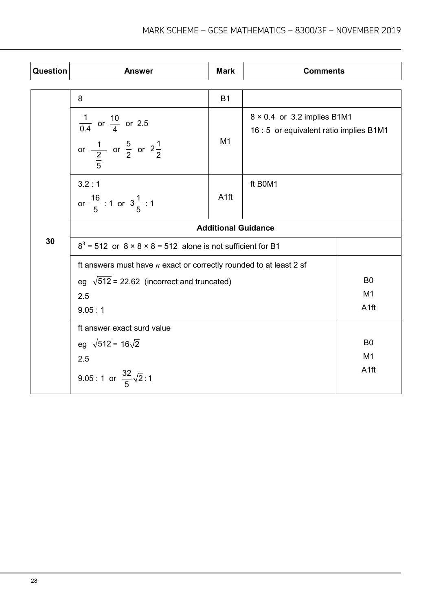| Question | <b>Answer</b>                                                                                   | <b>Mark</b>      | <b>Comments</b>                                                               |                                    |  |
|----------|-------------------------------------------------------------------------------------------------|------------------|-------------------------------------------------------------------------------|------------------------------------|--|
| 30       | 8                                                                                               | <b>B1</b>        |                                                                               |                                    |  |
|          | $\frac{1}{0.4}$ or $\frac{10}{4}$ or 2.5<br>or $\frac{1}{2}$ or $\frac{5}{2}$ or $2\frac{1}{2}$ | M1               | $8 \times 0.4$ or 3.2 implies B1M1<br>16 : 5 or equivalent ratio implies B1M1 |                                    |  |
|          | 3.2:1<br>or $\frac{16}{5}$ : 1 or $3\frac{1}{5}$ : 1                                            | A <sub>1ft</sub> | ft B0M1                                                                       |                                    |  |
|          | <b>Additional Guidance</b>                                                                      |                  |                                                                               |                                    |  |
|          | $83$ = 512 or $8 \times 8 \times 8 = 512$ alone is not sufficient for B1                        |                  |                                                                               |                                    |  |
|          | ft answers must have $n$ exact or correctly rounded to at least 2 sf                            |                  |                                                                               |                                    |  |
|          | eg $\sqrt{512}$ = 22.62 (incorrect and truncated)                                               | B <sub>0</sub>   |                                                                               |                                    |  |
|          | 2.5<br>9.05:1                                                                                   |                  |                                                                               | M <sub>1</sub><br>A <sub>1ft</sub> |  |
|          | ft answer exact surd value                                                                      |                  |                                                                               |                                    |  |
|          | eg $\sqrt{512}$ = 16 $\sqrt{2}$                                                                 |                  |                                                                               | B <sub>0</sub>                     |  |
|          | 2.5                                                                                             |                  |                                                                               | M <sub>1</sub>                     |  |
|          | 9.05 : 1 or $\frac{32}{5}\sqrt{2}$ : 1                                                          |                  |                                                                               | A <sub>1ft</sub>                   |  |